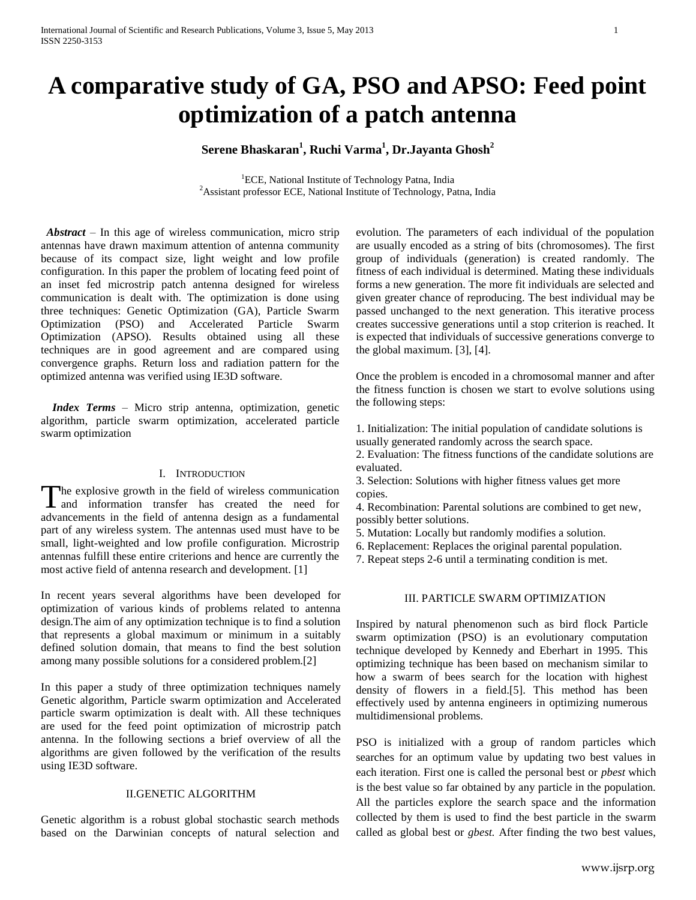# **A comparative study of GA, PSO and APSO: Feed point optimization of a patch antenna**

## **Serene Bhaskaran<sup>1</sup> , Ruchi Varma<sup>1</sup> , Dr.Jayanta Ghosh<sup>2</sup>**

<sup>1</sup>ECE, National Institute of Technology Patna, India <sup>2</sup>Assistant professor ECE, National Institute of Technology, Patna, India

*Abstract* – In this age of wireless communication, micro strip antennas have drawn maximum attention of antenna community because of its compact size, light weight and low profile configuration. In this paper the problem of locating feed point of an inset fed microstrip patch antenna designed for wireless communication is dealt with. The optimization is done using three techniques: Genetic Optimization (GA), Particle Swarm Optimization (PSO) and Accelerated Particle Swarm Optimization (APSO). Results obtained using all these techniques are in good agreement and are compared using convergence graphs. Return loss and radiation pattern for the optimized antenna was verified using IE3D software.

 *Index Terms* – Micro strip antenna, optimization, genetic algorithm, particle swarm optimization, accelerated particle swarm optimization

#### I. INTRODUCTION

The explosive growth in the field of wireless communication The explosive growth in the field of wireless communication<br>and information transfer has created the need for advancements in the field of antenna design as a fundamental part of any wireless system. The antennas used must have to be small, light-weighted and low profile configuration. Microstrip antennas fulfill these entire criterions and hence are currently the most active field of antenna research and development. [1]

In recent years several algorithms have been developed for optimization of various kinds of problems related to antenna design.The aim of any optimization technique is to find a solution that represents a global maximum or minimum in a suitably defined solution domain, that means to find the best solution among many possible solutions for a considered problem.[2]

In this paper a study of three optimization techniques namely Genetic algorithm, Particle swarm optimization and Accelerated particle swarm optimization is dealt with. All these techniques are used for the feed point optimization of microstrip patch antenna. In the following sections a brief overview of all the algorithms are given followed by the verification of the results using IE3D software.

## II.GENETIC ALGORITHM

Genetic algorithm is a robust global stochastic search methods based on the Darwinian concepts of natural selection and evolution. The parameters of each individual of the population are usually encoded as a string of bits (chromosomes). The first group of individuals (generation) is created randomly. The fitness of each individual is determined. Mating these individuals forms a new generation. The more fit individuals are selected and given greater chance of reproducing. The best individual may be passed unchanged to the next generation. This iterative process creates successive generations until a stop criterion is reached. It is expected that individuals of successive generations converge to the global maximum. [3], [4].

Once the problem is encoded in a chromosomal manner and after the fitness function is chosen we start to evolve solutions using the following steps:

1. Initialization: The initial population of candidate solutions is usually generated randomly across the search space.

2. Evaluation: The fitness functions of the candidate solutions are evaluated.

3. Selection: Solutions with higher fitness values get more copies.

4. Recombination: Parental solutions are combined to get new, possibly better solutions.

- 5. Mutation: Locally but randomly modifies a solution.
- 6. Replacement: Replaces the original parental population.
- 7. Repeat steps 2-6 until a terminating condition is met.

#### III. PARTICLE SWARM OPTIMIZATION

Inspired by natural phenomenon such as bird flock Particle swarm optimization (PSO) is an evolutionary computation technique developed by Kennedy and Eberhart in 1995. This optimizing technique has been based on mechanism similar to how a swarm of bees search for the location with highest density of flowers in a field.[5]. This method has been effectively used by antenna engineers in optimizing numerous multidimensional problems.

PSO is initialized with a group of random particles which searches for an optimum value by updating two best values in each iteration. First one is called the personal best or *pbest* which is the best value so far obtained by any particle in the population. All the particles explore the search space and the information collected by them is used to find the best particle in the swarm called as global best or *gbest.* After finding the two best values,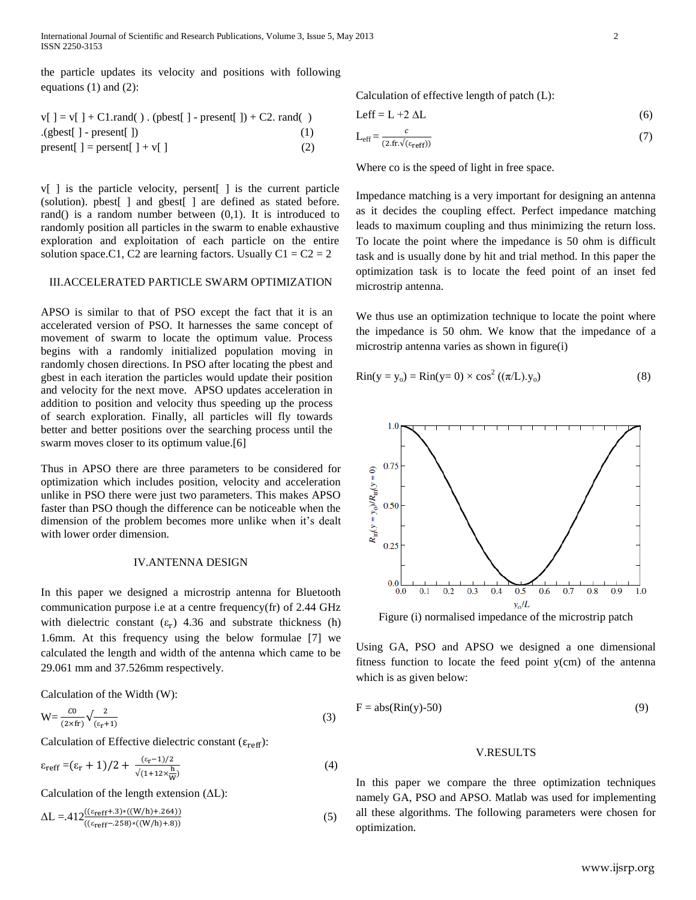the particle updates its velocity and positions with following equations (1) and (2):

$$
v[ ] = v[ ] + C1.random( ) . (pbest[ ] - present[ ] ) + C2. rand( )
$$
  
.
$$
. (gbest[ ] - present[ ] )
$$
  
present[ ] = present[ ] + v[ ] (2)

v[ ] is the particle velocity, persent[ ] is the current particle (solution). pbest[ ] and gbest[ ] are defined as stated before. rand() is a random number between  $(0,1)$ . It is introduced to randomly position all particles in the swarm to enable exhaustive exploration and exploitation of each particle on the entire solution space.C1, C2 are learning factors. Usually  $C1 = C2 = 2$ 

## III.ACCELERATED PARTICLE SWARM OPTIMIZATION

APSO is similar to that of PSO except the fact that it is an accelerated version of PSO. It harnesses the same concept of movement of swarm to locate the optimum value. Process begins with a randomly initialized population moving in randomly chosen directions. In PSO after locating the pbest and gbest in each iteration the particles would update their position and velocity for the next move. APSO updates acceleration in addition to position and velocity thus speeding up the process of search exploration. Finally, all particles will fly towards better and better positions over the searching process until the swarm moves closer to its optimum value.[6]

Thus in APSO there are three parameters to be considered for optimization which includes position, velocity and acceleration unlike in PSO there were just two parameters. This makes APSO faster than PSO though the difference can be noticeable when the dimension of the problem becomes more unlike when it's dealt with lower order dimension.

## IV.ANTENNA DESIGN

In this paper we designed a microstrip antenna for Bluetooth communication purpose i.e at a centre frequency(fr) of 2.44 GHz with dielectric constant  $(\epsilon_r)$  4.36 and substrate thickness (h) 1.6mm. At this frequency using the below formulae [7] we calculated the length and width of the antenna which came to be 29.061 mm and 37.526mm respectively.

Calculation of the Width (W):

$$
W = \frac{c_0}{(2 \times fr)} \sqrt{\frac{2}{(\epsilon_r + 1)}}
$$
(3)

Calculation of Effective dielectric constant ( $\varepsilon_{\text{reff}}$ ):

$$
\varepsilon_{\text{reff}} = (\varepsilon_{\text{r}} + 1)/2 + \frac{(\varepsilon_{\text{r}} - 1)/2}{\sqrt{(1 + 12 \times \frac{\text{h}}{\text{W}})}}\tag{4}
$$

Calculation of the length extension (ΔL):

$$
\Delta L = .412 \frac{((\varepsilon_{\text{reff}} + 3) * ((W/h) + 264))}{((\varepsilon_{\text{reff}} - 258) * ((W/h) + 8))}
$$
(5)

Calculation of effective length of patch (L):

$$
Left = L + 2 \Delta L \tag{6}
$$

$$
L_{\text{eff}} = \frac{c}{(2 \text{ fr.} \sqrt{(\varepsilon_{\text{ref}}))}}\tag{7}
$$

Where co is the speed of light in free space.

Impedance matching is a very important for designing an antenna as it decides the coupling effect. Perfect impedance matching leads to maximum coupling and thus minimizing the return loss. To locate the point where the impedance is 50 ohm is difficult task and is usually done by hit and trial method. In this paper the optimization task is to locate the feed point of an inset fed microstrip antenna.

We thus use an optimization technique to locate the point where the impedance is 50 ohm. We know that the impedance of a microstrip antenna varies as shown in figure(i)

$$
Rin(y = y_0) = Rin(y=0) \times cos^2 ((\pi/L).y_0)
$$
 (8)



Figure (i) normalised impedance of the microstrip patch

Using GA, PSO and APSO we designed a one dimensional fitness function to locate the feed point y(cm) of the antenna which is as given below:

$$
F = abs(Rin(y)-50)
$$
 (9)

## V.RESULTS

In this paper we compare the three optimization techniques namely GA, PSO and APSO. Matlab was used for implementing all these algorithms. The following parameters were chosen for optimization.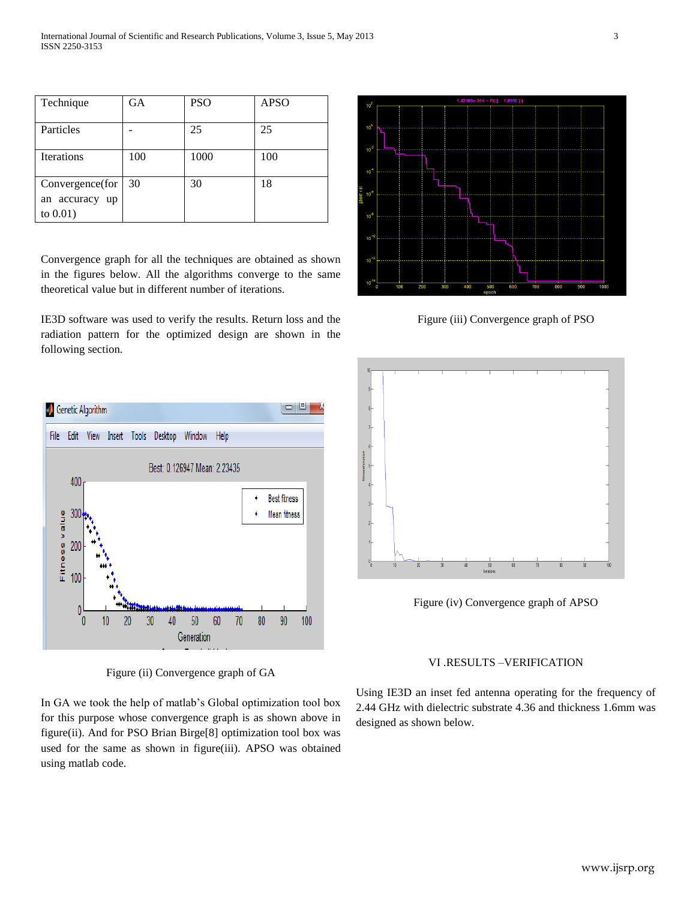| Technique                                           | <b>GA</b> | <b>PSO</b> | <b>APSO</b> |
|-----------------------------------------------------|-----------|------------|-------------|
| Particles                                           |           | 25         | 25          |
| <b>Iterations</b>                                   | 100       | 1000       | 100         |
| Convergence(for<br>an accuracy<br>up<br>to $0.01$ ) | 30        | 30         | 18          |

Convergence graph for all the techniques are obtained as shown in the figures below. All the algorithms converge to the same theoretical value but in different number of iterations.

IE3D software was used to verify the results. Return loss and the radiation pattern for the optimized design are shown in the following section.



Figure (ii) Convergence graph of GA

In GA we took the help of matlab's Global optimization tool box for this purpose whose convergence graph is as shown above in figure(ii). And for PSO Brian Birge[8] optimization tool box was used for the same as shown in figure(iii). APSO was obtained using matlab code.



Figure (iii) Convergence graph of PSO



Figure (iv) Convergence graph of APSO

## VI .RESULTS –VERIFICATION

Using IE3D an inset fed antenna operating for the frequency of 2.44 GHz with dielectric substrate 4.36 and thickness 1.6mm was designed as shown below.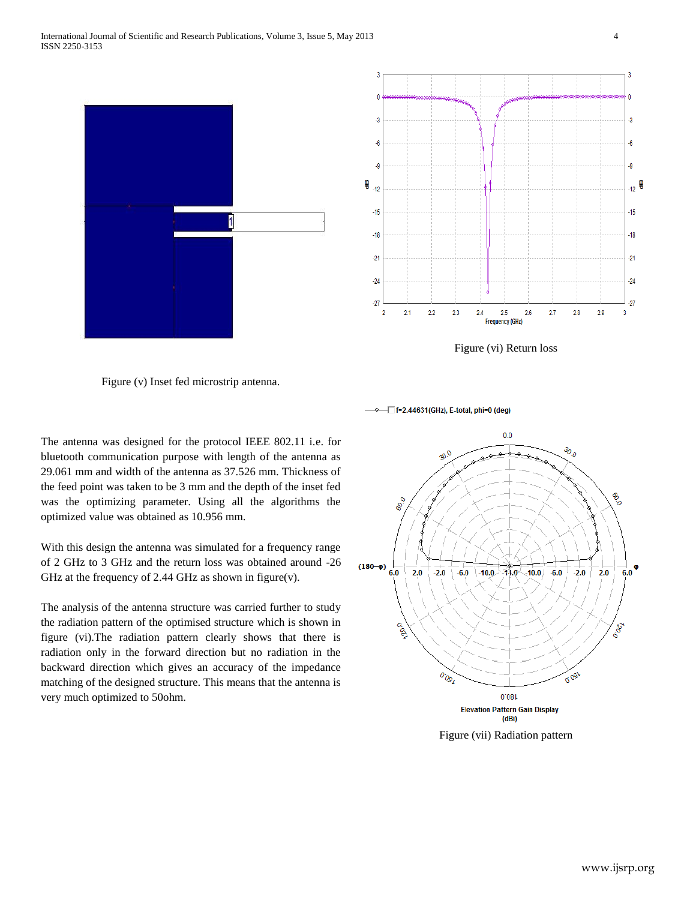

Figure (vi) Return loss

Figure (v) Inset fed microstrip antenna.

The antenna was designed for the protocol IEEE 802.11 i.e. for bluetooth communication purpose with length of the antenna as 29.061 mm and width of the antenna as 37.526 mm. Thickness of the feed point was taken to be 3 mm and the depth of the inset fed was the optimizing parameter. Using all the algorithms the optimized value was obtained as 10.956 mm.

With this design the antenna was simulated for a frequency range of 2 GHz to 3 GHz and the return loss was obtained around -26 GHz at the frequency of 2.44 GHz as shown in figure(v).

The analysis of the antenna structure was carried further to study the radiation pattern of the optimised structure which is shown in figure (vi).The radiation pattern clearly shows that there is radiation only in the forward direction but no radiation in the backward direction which gives an accuracy of the impedance matching of the designed structure. This means that the antenna is very much optimized to 50ohm.

-□ f=2.44631(GHz), E-total, phi=0 (deg)



Figure (vii) Radiation pattern